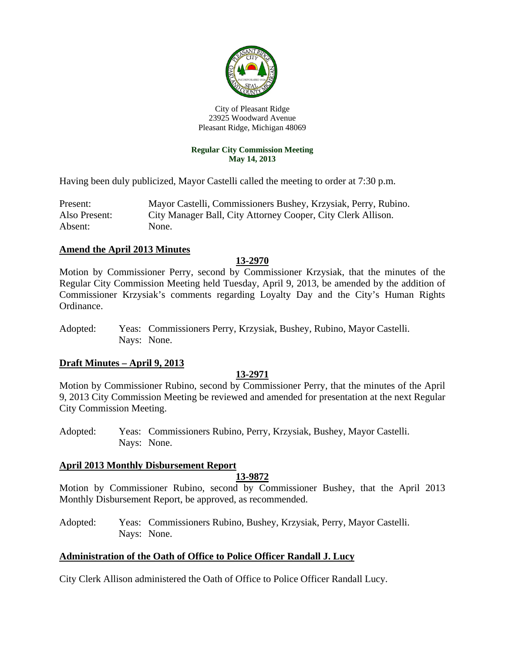

City of Pleasant Ridge 23925 Woodward Avenue Pleasant Ridge, Michigan 48069

#### **Regular City Commission Meeting May 14, 2013**

Having been duly publicized, Mayor Castelli called the meeting to order at 7:30 p.m.

Present: Mayor Castelli, Commissioners Bushey, Krzysiak, Perry, Rubino. Also Present: City Manager Ball, City Attorney Cooper, City Clerk Allison. Absent: None.

#### **Amend the April 2013 Minutes**

## **13-2970**

Motion by Commissioner Perry, second by Commissioner Krzysiak, that the minutes of the Regular City Commission Meeting held Tuesday, April 9, 2013, be amended by the addition of Commissioner Krzysiak's comments regarding Loyalty Day and the City's Human Rights Ordinance.

Adopted: Yeas: Commissioners Perry, Krzysiak, Bushey, Rubino, Mayor Castelli. Nays: None.

## **Draft Minutes – April 9, 2013**

#### **13-2971**

Motion by Commissioner Rubino, second by Commissioner Perry, that the minutes of the April 9, 2013 City Commission Meeting be reviewed and amended for presentation at the next Regular City Commission Meeting.

Adopted: Yeas: Commissioners Rubino, Perry, Krzysiak, Bushey, Mayor Castelli. Nays: None.

#### **April 2013 Monthly Disbursement Report**

#### **13-9872**

Motion by Commissioner Rubino, second by Commissioner Bushey, that the April 2013 Monthly Disbursement Report, be approved, as recommended.

Adopted: Yeas: Commissioners Rubino, Bushey, Krzysiak, Perry, Mayor Castelli. Nays: None.

#### **Administration of the Oath of Office to Police Officer Randall J. Lucy**

City Clerk Allison administered the Oath of Office to Police Officer Randall Lucy.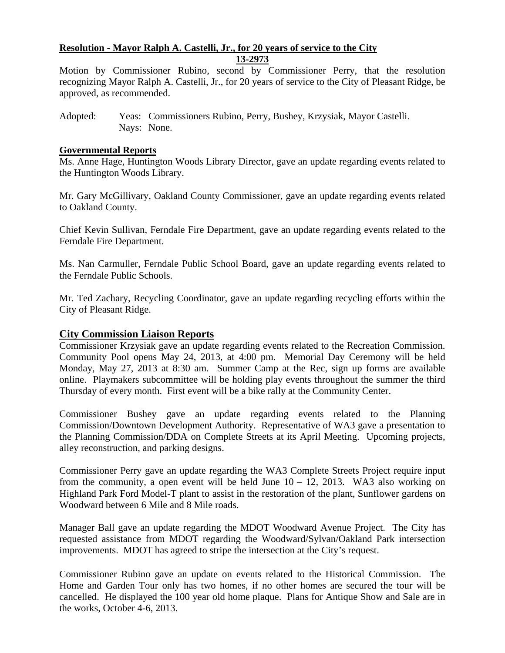#### **Resolution - Mayor Ralph A. Castelli, Jr., for 20 years of service to the City 13-2973**

Motion by Commissioner Rubino, second by Commissioner Perry, that the resolution recognizing Mayor Ralph A. Castelli, Jr., for 20 years of service to the City of Pleasant Ridge, be approved, as recommended.

## **Governmental Reports**

Ms. Anne Hage, Huntington Woods Library Director, gave an update regarding events related to the Huntington Woods Library.

Mr. Gary McGillivary, Oakland County Commissioner, gave an update regarding events related to Oakland County.

Chief Kevin Sullivan, Ferndale Fire Department, gave an update regarding events related to the Ferndale Fire Department.

Ms. Nan Carmuller, Ferndale Public School Board, gave an update regarding events related to the Ferndale Public Schools.

Mr. Ted Zachary, Recycling Coordinator, gave an update regarding recycling efforts within the City of Pleasant Ridge.

## **City Commission Liaison Reports**

Commissioner Krzysiak gave an update regarding events related to the Recreation Commission. Community Pool opens May 24, 2013, at 4:00 pm. Memorial Day Ceremony will be held Monday, May 27, 2013 at 8:30 am. Summer Camp at the Rec, sign up forms are available online. Playmakers subcommittee will be holding play events throughout the summer the third Thursday of every month. First event will be a bike rally at the Community Center.

Commissioner Bushey gave an update regarding events related to the Planning Commission/Downtown Development Authority. Representative of WA3 gave a presentation to the Planning Commission/DDA on Complete Streets at its April Meeting. Upcoming projects, alley reconstruction, and parking designs.

Commissioner Perry gave an update regarding the WA3 Complete Streets Project require input from the community, a open event will be held June  $10 - 12$ , 2013. WA3 also working on Highland Park Ford Model-T plant to assist in the restoration of the plant, Sunflower gardens on Woodward between 6 Mile and 8 Mile roads.

Manager Ball gave an update regarding the MDOT Woodward Avenue Project. The City has requested assistance from MDOT regarding the Woodward/Sylvan/Oakland Park intersection improvements. MDOT has agreed to stripe the intersection at the City's request.

Commissioner Rubino gave an update on events related to the Historical Commission. The Home and Garden Tour only has two homes, if no other homes are secured the tour will be cancelled. He displayed the 100 year old home plaque. Plans for Antique Show and Sale are in the works, October 4-6, 2013.

Adopted: Yeas: Commissioners Rubino, Perry, Bushey, Krzysiak, Mayor Castelli. Nays: None.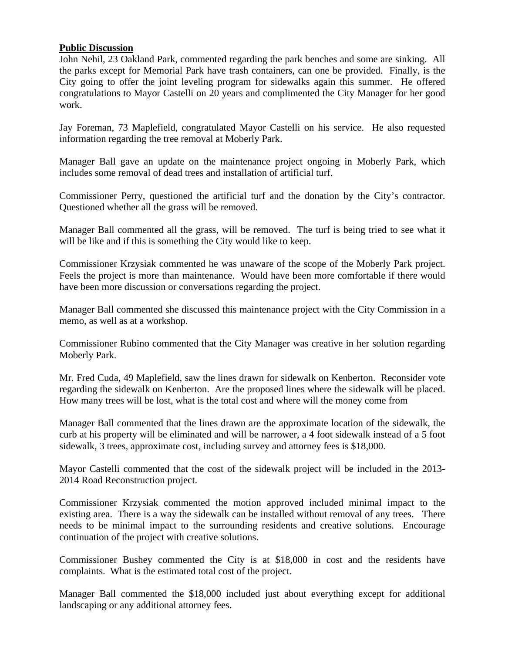## **Public Discussion**

John Nehil, 23 Oakland Park, commented regarding the park benches and some are sinking. All the parks except for Memorial Park have trash containers, can one be provided. Finally, is the City going to offer the joint leveling program for sidewalks again this summer. He offered congratulations to Mayor Castelli on 20 years and complimented the City Manager for her good work.

Jay Foreman, 73 Maplefield, congratulated Mayor Castelli on his service. He also requested information regarding the tree removal at Moberly Park.

Manager Ball gave an update on the maintenance project ongoing in Moberly Park, which includes some removal of dead trees and installation of artificial turf.

Commissioner Perry, questioned the artificial turf and the donation by the City's contractor. Questioned whether all the grass will be removed.

Manager Ball commented all the grass, will be removed. The turf is being tried to see what it will be like and if this is something the City would like to keep.

Commissioner Krzysiak commented he was unaware of the scope of the Moberly Park project. Feels the project is more than maintenance. Would have been more comfortable if there would have been more discussion or conversations regarding the project.

Manager Ball commented she discussed this maintenance project with the City Commission in a memo, as well as at a workshop.

Commissioner Rubino commented that the City Manager was creative in her solution regarding Moberly Park.

Mr. Fred Cuda, 49 Maplefield, saw the lines drawn for sidewalk on Kenberton. Reconsider vote regarding the sidewalk on Kenberton. Are the proposed lines where the sidewalk will be placed. How many trees will be lost, what is the total cost and where will the money come from

Manager Ball commented that the lines drawn are the approximate location of the sidewalk, the curb at his property will be eliminated and will be narrower, a 4 foot sidewalk instead of a 5 foot sidewalk, 3 trees, approximate cost, including survey and attorney fees is \$18,000.

Mayor Castelli commented that the cost of the sidewalk project will be included in the 2013- 2014 Road Reconstruction project.

Commissioner Krzysiak commented the motion approved included minimal impact to the existing area. There is a way the sidewalk can be installed without removal of any trees. There needs to be minimal impact to the surrounding residents and creative solutions. Encourage continuation of the project with creative solutions.

Commissioner Bushey commented the City is at \$18,000 in cost and the residents have complaints. What is the estimated total cost of the project.

Manager Ball commented the \$18,000 included just about everything except for additional landscaping or any additional attorney fees.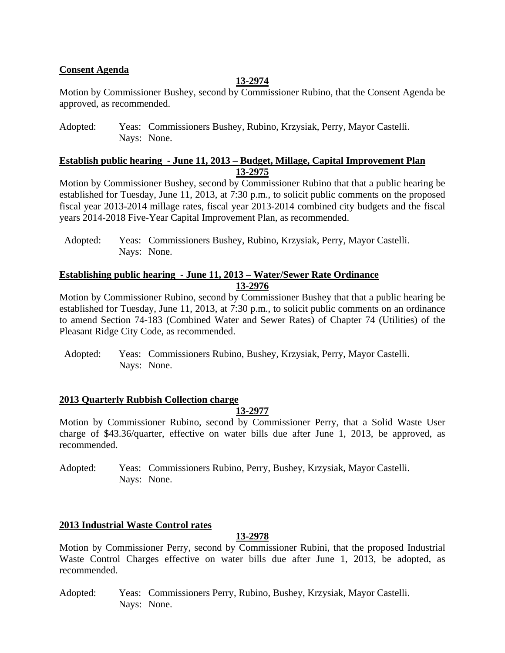## **Consent Agenda**

## **13-2974**

Motion by Commissioner Bushey, second by Commissioner Rubino, that the Consent Agenda be approved, as recommended.

Adopted: Yeas: Commissioners Bushey, Rubino, Krzysiak, Perry, Mayor Castelli. Nays: None.

## **Establish public hearing - June 11, 2013 – Budget, Millage, Capital Improvement Plan 13-2975**

Motion by Commissioner Bushey, second by Commissioner Rubino that that a public hearing be established for Tuesday, June 11, 2013, at 7:30 p.m., to solicit public comments on the proposed fiscal year 2013-2014 millage rates, fiscal year 2013-2014 combined city budgets and the fiscal years 2014-2018 Five-Year Capital Improvement Plan, as recommended.

## **Establishing public hearing - June 11, 2013 – Water/Sewer Rate Ordinance 13-2976**

Motion by Commissioner Rubino, second by Commissioner Bushey that that a public hearing be established for Tuesday, June 11, 2013, at 7:30 p.m., to solicit public comments on an ordinance to amend Section 74-183 (Combined Water and Sewer Rates) of Chapter 74 (Utilities) of the Pleasant Ridge City Code, as recommended.

#### **2013 Quarterly Rubbish Collection charge**

**13-2977** 

Motion by Commissioner Rubino, second by Commissioner Perry, that a Solid Waste User charge of \$43.36/quarter, effective on water bills due after June 1, 2013, be approved, as recommended.

Adopted: Yeas: Commissioners Rubino, Perry, Bushey, Krzysiak, Mayor Castelli. Nays: None.

## **2013 Industrial Waste Control rates**

#### **13-2978**

Motion by Commissioner Perry, second by Commissioner Rubini, that the proposed Industrial Waste Control Charges effective on water bills due after June 1, 2013, be adopted, as recommended.

Adopted: Yeas: Commissioners Perry, Rubino, Bushey, Krzysiak, Mayor Castelli. Nays: None.

Adopted: Yeas: Commissioners Bushey, Rubino, Krzysiak, Perry, Mayor Castelli. Nays: None.

Adopted: Yeas: Commissioners Rubino, Bushey, Krzysiak, Perry, Mayor Castelli. Nays: None.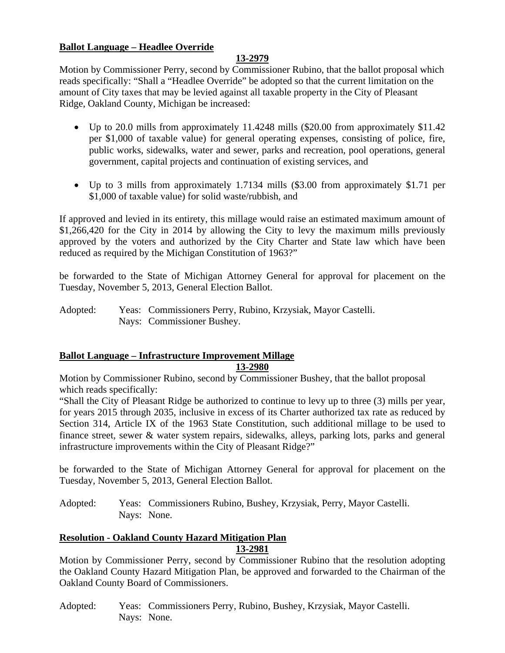## **Ballot Language – Headlee Override**

## **13-2979**

Motion by Commissioner Perry, second by Commissioner Rubino, that the ballot proposal which reads specifically: "Shall a "Headlee Override" be adopted so that the current limitation on the amount of City taxes that may be levied against all taxable property in the City of Pleasant Ridge, Oakland County, Michigan be increased:

- Up to 20.0 mills from approximately 11.4248 mills (\$20.00 from approximately \$11.42 per \$1,000 of taxable value) for general operating expenses, consisting of police, fire, public works, sidewalks, water and sewer, parks and recreation, pool operations, general government, capital projects and continuation of existing services, and
- Up to 3 mills from approximately 1.7134 mills (\$3.00 from approximately \$1.71 per \$1,000 of taxable value) for solid waste/rubbish, and

If approved and levied in its entirety, this millage would raise an estimated maximum amount of \$1,266,420 for the City in 2014 by allowing the City to levy the maximum mills previously approved by the voters and authorized by the City Charter and State law which have been reduced as required by the Michigan Constitution of 1963?"

be forwarded to the State of Michigan Attorney General for approval for placement on the Tuesday, November 5, 2013, General Election Ballot.

Adopted: Yeas: Commissioners Perry, Rubino, Krzysiak, Mayor Castelli. Nays: Commissioner Bushey.

## **Ballot Language – Infrastructure Improvement Millage**

## **13-2980**

Motion by Commissioner Rubino, second by Commissioner Bushey, that the ballot proposal which reads specifically:

"Shall the City of Pleasant Ridge be authorized to continue to levy up to three (3) mills per year, for years 2015 through 2035, inclusive in excess of its Charter authorized tax rate as reduced by Section 314, Article IX of the 1963 State Constitution, such additional millage to be used to finance street, sewer & water system repairs, sidewalks, alleys, parking lots, parks and general infrastructure improvements within the City of Pleasant Ridge?"

be forwarded to the State of Michigan Attorney General for approval for placement on the Tuesday, November 5, 2013, General Election Ballot.

Adopted: Yeas: Commissioners Rubino, Bushey, Krzysiak, Perry, Mayor Castelli. Nays: None.

## **Resolution - Oakland County Hazard Mitigation Plan**

#### **13-2981**

Motion by Commissioner Perry, second by Commissioner Rubino that the resolution adopting the Oakland County Hazard Mitigation Plan, be approved and forwarded to the Chairman of the Oakland County Board of Commissioners.

Adopted: Yeas: Commissioners Perry, Rubino, Bushey, Krzysiak, Mayor Castelli. Nays: None.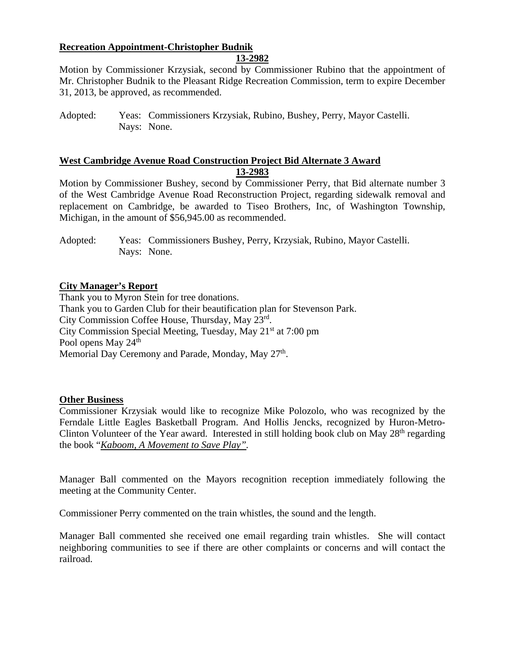## **Recreation Appointment-Christopher Budnik**

## **13-2982**

Motion by Commissioner Krzysiak, second by Commissioner Rubino that the appointment of Mr. Christopher Budnik to the Pleasant Ridge Recreation Commission, term to expire December 31, 2013, be approved, as recommended.

# **West Cambridge Avenue Road Construction Project Bid Alternate 3 Award**

**13-2983** 

Motion by Commissioner Bushey, second by Commissioner Perry, that Bid alternate number 3 of the West Cambridge Avenue Road Reconstruction Project, regarding sidewalk removal and replacement on Cambridge, be awarded to Tiseo Brothers, Inc, of Washington Township, Michigan, in the amount of \$56,945.00 as recommended.

## **City Manager's Report**

Thank you to Myron Stein for tree donations. Thank you to Garden Club for their beautification plan for Stevenson Park. City Commission Coffee House, Thursday, May 23rd. City Commission Special Meeting, Tuesday, May 21st at 7:00 pm Pool opens May 24<sup>th</sup> Memorial Day Ceremony and Parade, Monday, May 27<sup>th</sup>.

#### **Other Business**

Commissioner Krzysiak would like to recognize Mike Polozolo, who was recognized by the Ferndale Little Eagles Basketball Program. And Hollis Jencks, recognized by Huron-Metro-Clinton Volunteer of the Year award. Interested in still holding book club on May  $28<sup>th</sup>$  regarding the book "*Kaboom, A Movement to Save Play".*

Manager Ball commented on the Mayors recognition reception immediately following the meeting at the Community Center.

Commissioner Perry commented on the train whistles, the sound and the length.

Manager Ball commented she received one email regarding train whistles. She will contact neighboring communities to see if there are other complaints or concerns and will contact the railroad.

Adopted: Yeas: Commissioners Krzysiak, Rubino, Bushey, Perry, Mayor Castelli. Nays: None.

Adopted: Yeas: Commissioners Bushey, Perry, Krzysiak, Rubino, Mayor Castelli. Nays: None.